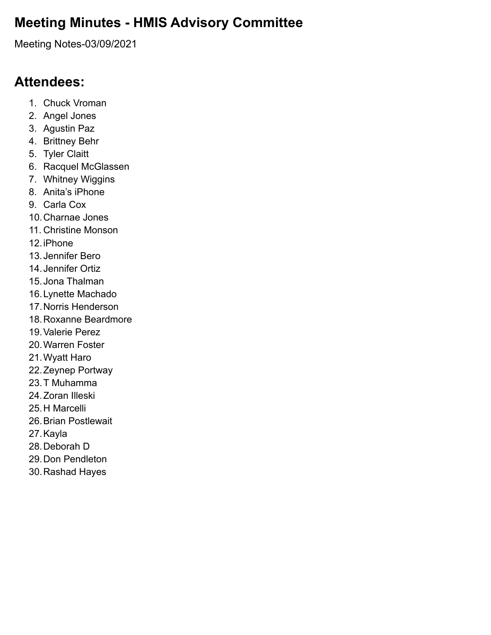### **Meeting Minutes - HMIS Advisory Committee**

Meeting Notes-03/09/2021

### **Attendees:**

- 1. Chuck Vroman
- 2. Angel Jones
- 3. Agustin Paz
- 4. Brittney Behr
- 5. Tyler Claitt
- 6. Racquel McGlassen
- 7. Whitney Wiggins
- 8. Anita's iPhone
- 9. Carla Cox
- 10.Charnae Jones
- 11. Christine Monson
- 12.iPhone
- 13.Jennifer Bero
- 14.Jennifer Ortiz
- 15.Jona Thalman
- 16.Lynette Machado
- 17.Norris Henderson
- 18.Roxanne Beardmore
- 19.Valerie Perez
- 20.Warren Foster
- 21.Wyatt Haro
- 22.Zeynep Portway
- 23.T Muhamma
- 24.Zoran Illeski
- 25.H Marcelli
- 26.Brian Postlewait
- 27.Kayla
- 28.Deborah D
- 29.Don Pendleton
- 30.Rashad Hayes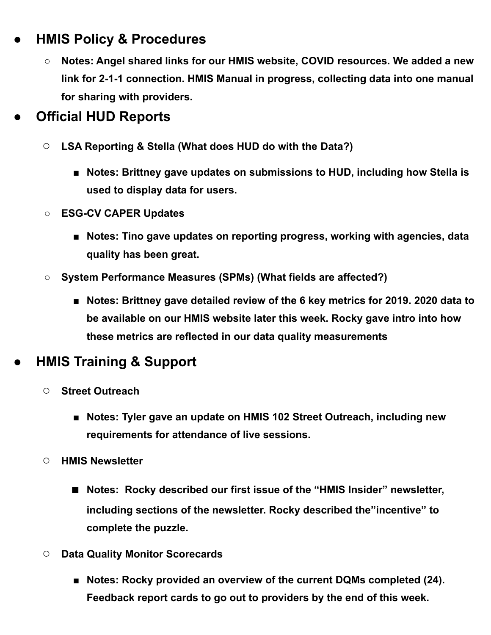### **● HMIS Policy & Procedures**

**○ Notes: Angel shared links for our HMIS website, COVID resources. We added a new link for 2-1-1 connection. HMIS Manual in progress, collecting data into one manual for sharing with providers.**

# **● Official HUD Reports**

- **○ LSA Reporting & Stella (What does HUD do with the Data?)**
	- **■ Notes: Brittney gave updates on submissions to HUD, including how Stella is used to display data for users.**
- **○ ESG-CV CAPER Updates**
	- **■ Notes: Tino gave updates on reporting progress, working with agencies, data quality has been great.**
- **○ System Performance Measures (SPMs) (What fields are affected?)**
	- **■ Notes: Brittney gave detailed review of the 6 key metrics for 2019. 2020 data to be available on our HMIS website later this week. Rocky gave intro into how these metrics are reflected in our data quality measurements**

# **● HMIS Training & Support**

- **○ Street Outreach**
	- **■ Notes: Tyler gave an update on HMIS 102 Street Outreach, including new requirements for attendance of live sessions.**
- **○ HMIS Newsletter**
	- **■ Notes: Rocky described our first issue of the "HMIS Insider" newsletter, including sections of the newsletter. Rocky described the"incentive" to complete the puzzle.**
- **○ Data Quality Monitor Scorecards**
	- **■ Notes: Rocky provided an overview of the current DQMs completed (24). Feedback report cards to go out to providers by the end of this week.**